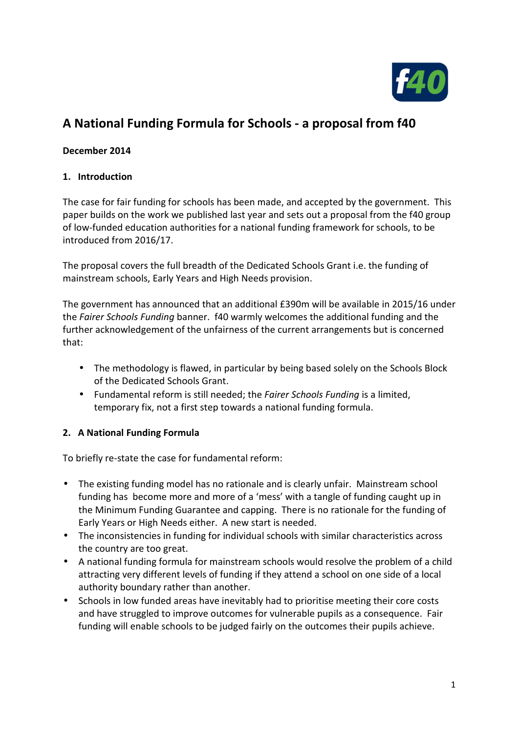

# **A National Funding Formula for Schools - a proposal from f40**

## **December 2014**

### **1. Introduction**

The case for fair funding for schools has been made, and accepted by the government. This paper builds on the work we published last year and sets out a proposal from the f40 group of low-funded education authorities for a national funding framework for schools, to be introduced from 2016/17.

The proposal covers the full breadth of the Dedicated Schools Grant i.e. the funding of mainstream schools, Early Years and High Needs provision.

The government has announced that an additional £390m will be available in 2015/16 under the *Fairer Schools Funding* banner. f40 warmly welcomes the additional funding and the further acknowledgement of the unfairness of the current arrangements but is concerned that:

- The methodology is flawed, in particular by being based solely on the Schools Block of the Dedicated Schools Grant.
- Fundamental reform is still needed; the *Fairer Schools Funding* is a limited, temporary fix, not a first step towards a national funding formula.

### **2. A National Funding Formula**

To briefly re-state the case for fundamental reform:

- The existing funding model has no rationale and is clearly unfair. Mainstream school funding has become more and more of a 'mess' with a tangle of funding caught up in the Minimum Funding Guarantee and capping. There is no rationale for the funding of Early Years or High Needs either. A new start is needed.
- The inconsistencies in funding for individual schools with similar characteristics across the country are too great.
- A national funding formula for mainstream schools would resolve the problem of a child attracting very different levels of funding if they attend a school on one side of a local authority boundary rather than another.
- Schools in low funded areas have inevitably had to prioritise meeting their core costs and have struggled to improve outcomes for vulnerable pupils as a consequence. Fair funding will enable schools to be judged fairly on the outcomes their pupils achieve.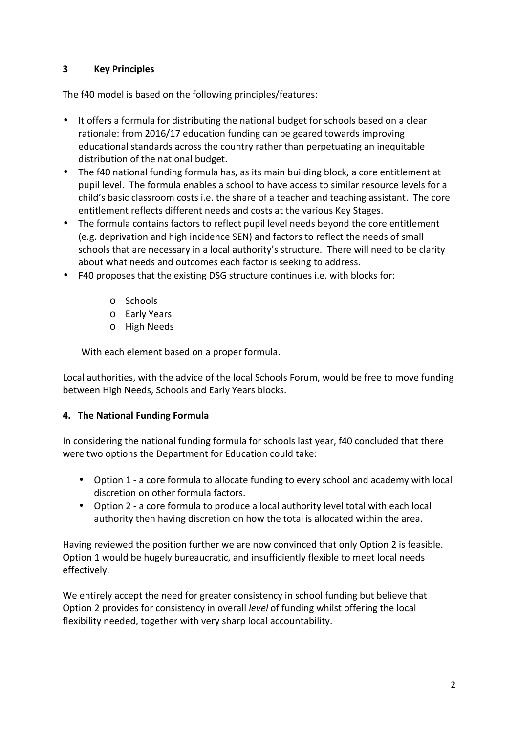## **3 Key Principles**

The f40 model is based on the following principles/features:

- It offers a formula for distributing the national budget for schools based on a clear rationale: from 2016/17 education funding can be geared towards improving educational standards across the country rather than perpetuating an inequitable distribution of the national budget.
- The f40 national funding formula has, as its main building block, a core entitlement at pupil level. The formula enables a school to have access to similar resource levels for a child's basic classroom costs i.e. the share of a teacher and teaching assistant. The core entitlement reflects different needs and costs at the various Key Stages.
- The formula contains factors to reflect pupil level needs beyond the core entitlement (e.g. deprivation and high incidence SEN) and factors to reflect the needs of small schools that are necessary in a local authority's structure. There will need to be clarity about what needs and outcomes each factor is seeking to address.
- F40 proposes that the existing DSG structure continues i.e. with blocks for:
	- o Schools
	- o Early Years
	- o High Needs

With each element based on a proper formula.

Local authorities, with the advice of the local Schools Forum, would be free to move funding between High Needs, Schools and Early Years blocks.

### **4. The National Funding Formula**

In considering the national funding formula for schools last year, f40 concluded that there were two options the Department for Education could take:

- Option 1 a core formula to allocate funding to every school and academy with local discretion on other formula factors.
- Option 2 a core formula to produce a local authority level total with each local authority then having discretion on how the total is allocated within the area.

Having reviewed the position further we are now convinced that only Option 2 is feasible. Option 1 would be hugely bureaucratic, and insufficiently flexible to meet local needs effectively.

We entirely accept the need for greater consistency in school funding but believe that Option 2 provides for consistency in overall *level* of funding whilst offering the local flexibility needed, together with very sharp local accountability.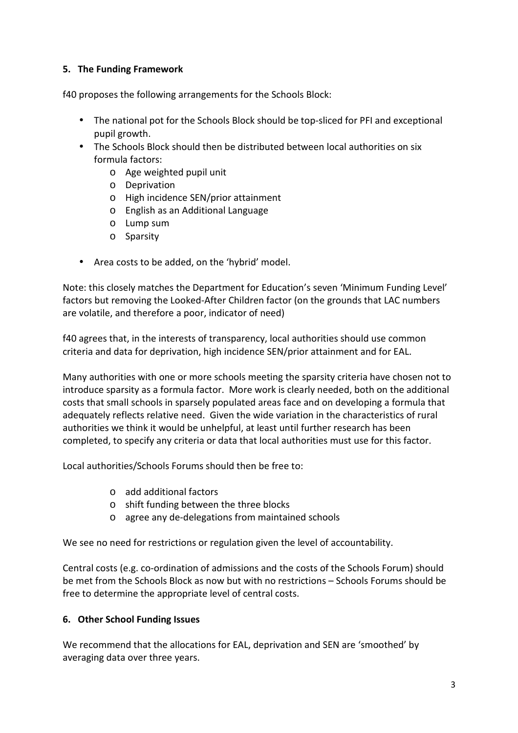## **5. The Funding Framework**

f40 proposes the following arrangements for the Schools Block:

- The national pot for the Schools Block should be top-sliced for PFI and exceptional pupil growth.
- The Schools Block should then be distributed between local authorities on six formula factors:
	- o Age weighted pupil unit
	- o Deprivation
	- o High incidence SEN/prior attainment
	- o English as an Additional Language
	- o Lump sum
	- o Sparsity
- Area costs to be added, on the 'hybrid' model.

Note: this closely matches the Department for Education's seven 'Minimum Funding Level' factors but removing the Looked-After Children factor (on the grounds that LAC numbers are volatile, and therefore a poor, indicator of need)

f40 agrees that, in the interests of transparency, local authorities should use common criteria and data for deprivation, high incidence SEN/prior attainment and for EAL.

Many authorities with one or more schools meeting the sparsity criteria have chosen not to introduce sparsity as a formula factor. More work is clearly needed, both on the additional costs that small schools in sparsely populated areas face and on developing a formula that adequately reflects relative need. Given the wide variation in the characteristics of rural authorities we think it would be unhelpful, at least until further research has been completed, to specify any criteria or data that local authorities must use for this factor.

Local authorities/Schools Forums should then be free to:

- o add additional factors
- o shift funding between the three blocks
- o agree any de-delegations from maintained schools

We see no need for restrictions or regulation given the level of accountability.

Central costs (e.g. co-ordination of admissions and the costs of the Schools Forum) should be met from the Schools Block as now but with no restrictions – Schools Forums should be free to determine the appropriate level of central costs.

### **6. Other School Funding Issues**

We recommend that the allocations for EAL, deprivation and SEN are 'smoothed' by averaging data over three years.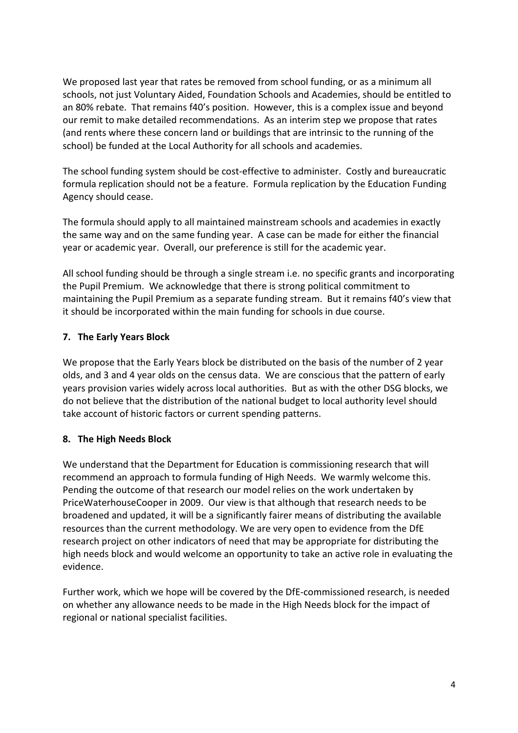We proposed last year that rates be removed from school funding, or as a minimum all schools, not just Voluntary Aided, Foundation Schools and Academies, should be entitled to an 80% rebate. That remains f40's position. However, this is a complex issue and beyond our remit to make detailed recommendations. As an interim step we propose that rates (and rents where these concern land or buildings that are intrinsic to the running of the school) be funded at the Local Authority for all schools and academies.

The school funding system should be cost-effective to administer. Costly and bureaucratic formula replication should not be a feature. Formula replication by the Education Funding Agency should cease.

The formula should apply to all maintained mainstream schools and academies in exactly the same way and on the same funding year. A case can be made for either the financial year or academic year. Overall, our preference is still for the academic year.

All school funding should be through a single stream i.e. no specific grants and incorporating the Pupil Premium. We acknowledge that there is strong political commitment to maintaining the Pupil Premium as a separate funding stream. But it remains f40's view that it should be incorporated within the main funding for schools in due course.

# **7. The Early Years Block**

We propose that the Early Years block be distributed on the basis of the number of 2 year olds, and 3 and 4 year olds on the census data. We are conscious that the pattern of early years provision varies widely across local authorities. But as with the other DSG blocks, we do not believe that the distribution of the national budget to local authority level should take account of historic factors or current spending patterns.

### **8. The High Needs Block**

We understand that the Department for Education is commissioning research that will recommend an approach to formula funding of High Needs. We warmly welcome this. Pending the outcome of that research our model relies on the work undertaken by PriceWaterhouseCooper in 2009. Our view is that although that research needs to be broadened and updated, it will be a significantly fairer means of distributing the available resources than the current methodology. We are very open to evidence from the DfE research project on other indicators of need that may be appropriate for distributing the high needs block and would welcome an opportunity to take an active role in evaluating the evidence.

Further work, which we hope will be covered by the DfE-commissioned research, is needed on whether any allowance needs to be made in the High Needs block for the impact of regional or national specialist facilities.